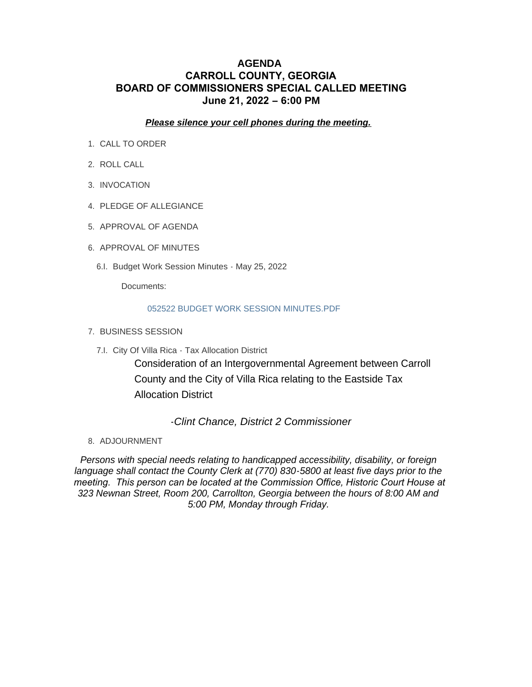### **AGENDA CARROLL COUNTY, GEORGIA BOARD OF COMMISSIONERS SPECIAL CALLED MEETING June 21, 2022 – 6:00 PM**

*Please silence your cell phones during the meeting.*

- 1. CALL TO ORDER
- 2. ROLL CALL
- 3. INVOCATION
- 4. PLEDGE OF ALLEGIANCE
- 5. APPROVAL OF AGENDA
- 6. APPROVAL OF MINUTES
	- 6.I. Budget Work Session Minutes May 25, 2022

Documents:

#### 052522 BUDGET WORK SESSION MINUTES.PDF

- 7. BUSINESS SESSION
	- 7.I. City Of Villa Rica Tax Allocation District

Consideration of an Intergovernmental Agreement between Carroll County and the City of Villa Rica relating to the Eastside Tax Allocation District

*-Clint Chance, District 2 Commissioner*

8. ADJOURNMENT

*Persons with special needs relating to handicapped accessibility, disability, or foreign language shall contact the County Clerk at (770) 830-5800 at least five days prior to the meeting. This person can be located at the Commission Office, Historic Court House at 323 Newnan Street, Room 200, Carrollton, Georgia between the hours of 8:00 AM and 5:00 PM, Monday through Friday.*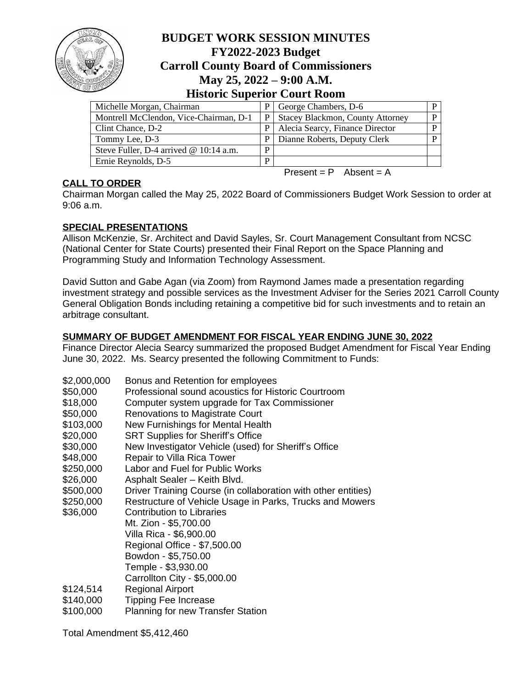

# **BUDGET WORK SESSION MINUTES FY2022-2023 Budget Carroll County Board of Commissioners May 25, 2022 – 9:00 A.M. Historic Superior Court Room**

| Michelle Morgan, Chairman                | P  | George Chambers, D-6                 | D |
|------------------------------------------|----|--------------------------------------|---|
| Montrell McClendon, Vice-Chairman, D-1   |    | P   Stacey Blackmon, County Attorney | P |
| Clint Chance, D-2                        | P. | Alecia Searcy, Finance Director      | P |
| Tommy Lee, D-3                           | P. | Dianne Roberts, Deputy Clerk         | D |
| Steve Fuller, D-4 arrived $@ 10:14$ a.m. | D  |                                      |   |
| Ernie Reynolds, D-5                      | D  |                                      |   |
|                                          |    |                                      |   |

### **CALL TO ORDER**

Present =  $P$  Absent = A

Chairman Morgan called the May 25, 2022 Board of Commissioners Budget Work Session to order at 9:06 a.m.

## **SPECIAL PRESENTATIONS**

Allison McKenzie, Sr. Architect and David Sayles, Sr. Court Management Consultant from NCSC (National Center for State Courts) presented their Final Report on the Space Planning and Programming Study and Information Technology Assessment.

David Sutton and Gabe Agan (via Zoom) from Raymond James made a presentation regarding investment strategy and possible services as the Investment Adviser for the Series 2021 Carroll County General Obligation Bonds including retaining a competitive bid for such investments and to retain an arbitrage consultant.

### **SUMMARY OF BUDGET AMENDMENT FOR FISCAL YEAR ENDING JUNE 30, 2022**

Finance Director Alecia Searcy summarized the proposed Budget Amendment for Fiscal Year Ending June 30, 2022. Ms. Searcy presented the following Commitment to Funds:

| \$2,000,000 | Bonus and Retention for employees                             |
|-------------|---------------------------------------------------------------|
| \$50,000    | Professional sound acoustics for Historic Courtroom           |
| \$18,000    | Computer system upgrade for Tax Commissioner                  |
| \$50,000    | <b>Renovations to Magistrate Court</b>                        |
| \$103,000   | New Furnishings for Mental Health                             |
| \$20,000    | <b>SRT Supplies for Sheriff's Office</b>                      |
| \$30,000    | New Investigator Vehicle (used) for Sheriff's Office          |
| \$48,000    | Repair to Villa Rica Tower                                    |
| \$250,000   | Labor and Fuel for Public Works                               |
| \$26,000    | Asphalt Sealer - Keith Blvd.                                  |
| \$500,000   | Driver Training Course (in collaboration with other entities) |
| \$250,000   | Restructure of Vehicle Usage in Parks, Trucks and Mowers      |
| \$36,000    | <b>Contribution to Libraries</b>                              |
|             | Mt. Zion - \$5,700.00                                         |
|             | Villa Rica - \$6,900.00                                       |
|             | Regional Office - \$7,500.00                                  |
|             | Bowdon - \$5,750.00                                           |
|             | Temple - \$3,930.00                                           |
|             | Carrollton City - \$5,000.00                                  |
| \$124,514   | <b>Regional Airport</b>                                       |
| \$140,000   | <b>Tipping Fee Increase</b>                                   |
| \$100,000   | <b>Planning for new Transfer Station</b>                      |

Total Amendment \$5,412,460